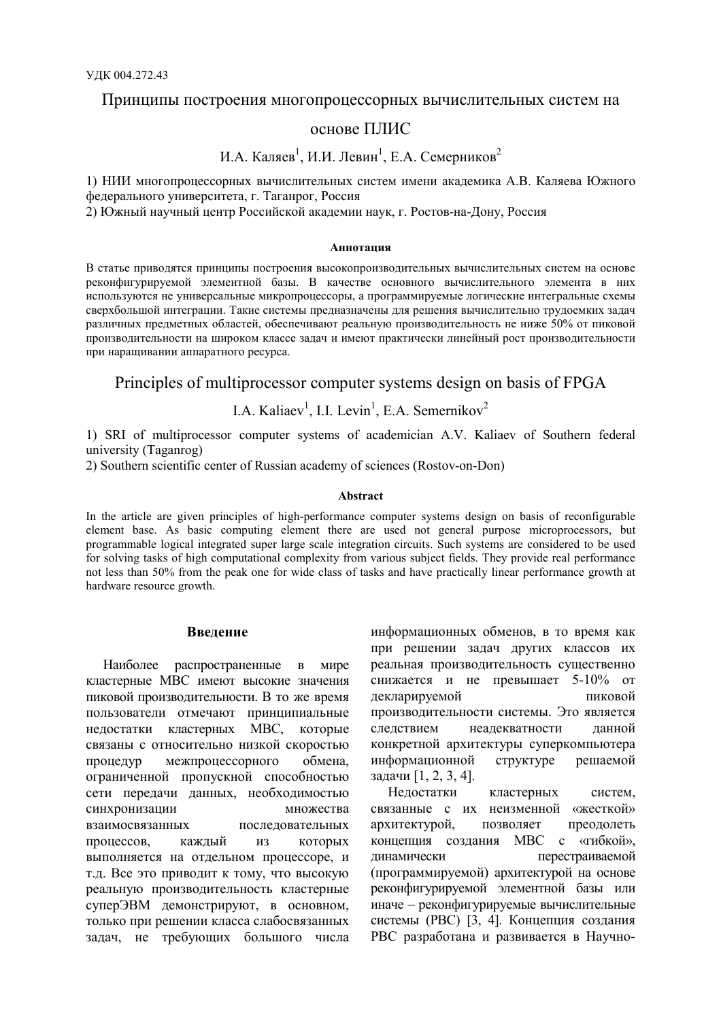## Принципы построения многопроцессорных вычислительных систем на

# основе ПЛИС

# И.А. Каляев<sup>1</sup>, И.И. Левин<sup>1</sup>, Е.А. Семерников<sup>2</sup>

1) НИИ многопроцессорных вычислительных систем имени академика А.В. Каляева Южного федерального университета, г. Таганрог, Россия

2) Южный научный центр Российской академии наук, г. Ростов-на-Дону, Россия

#### Аннотация

В статье приводятся принципы построения высокопроизводительных вычислительных систем на основе реконфигурируемой элементной базы. В качестве основного вычислительного элемента в них используются не универсальные микропроцессоры, а программируемые логические интегральные схемы сверхбольшой интеграции. Такие системы предназначены для решения вычислительно трудоемких задач различных предметных областей, обеспечивают реальную производительность не ниже 50% от пиковой производительности на широком классе задач и имеют практически линейный рост производительности при наращивании аппаратного ресурса.

# Principles of multiprocessor computer systems design on basis of FPGA

# I.A. Kaliaev<sup>1</sup>, I.I. Levin<sup>1</sup>, E.A. Semernikov<sup>2</sup>

1) SRI of multiprocessor computer systems of academician A.V. Kaliaev of Southern federal university (Taganrog)

2) Southern scientific center of Russian academy of sciences (Rostov-on-Don)

#### Abstract

In the article are given principles of high-performance computer systems design on basis of reconfigurable element base. As basic computing element there are used not general purpose microprocessors, but programmable logical integrated super large scale integration circuits. Such systems are considered to be used for solving tasks of high computational complexity from various subject fields. They provide real performance not less than 50% from the peak one for wide class of tasks and have practically linear performance growth at hardware resource growth.

### Введение

Наиболее распространенные в мире кластерные МВС имеют высокие значения пиковой производительности. В то же время пользователи отмечают принципиальные недостатки кластерных МВС, которые связаны с относительно низкой скоростью обмена. процедур межпроцессорного ограниченной пропускной способностью сети передачи данных, необходимостью синхронизации множества последовательных взаимосвязанных процессов, каждый **ИЗ** которых выполняется на отдельном процессоре, и т.д. Все это приводит к тому, что высокую реальную производительность кластерные суперЭВМ демонстрируют, в основном, только при решении класса слабосвязанных задач, не требующих большого числа

информационных обменов, в то время как при решении задач других классов их реальная производительность существенно снижается и не превышает 5-10% от декларируемой пиковой производительности системы. Это является следствием неадекватности ланной конкретной архитектуры суперкомпьютера информационной структуре решаемой задачи [1, 2, 3, 4].

Нелостатки кластерных систем. связанные с их неизменной «жесткой» архитектурой, преодолеть позволяет концепция создания МВС с «гибкой», перестраиваемой линамически (программируемой) архитектурой на основе реконфигурируемой элементной базы или иначе - реконфигурируемые вычислительные системы (РВС) [3, 4]. Концепция создания РВС разработана и развивается в Научно-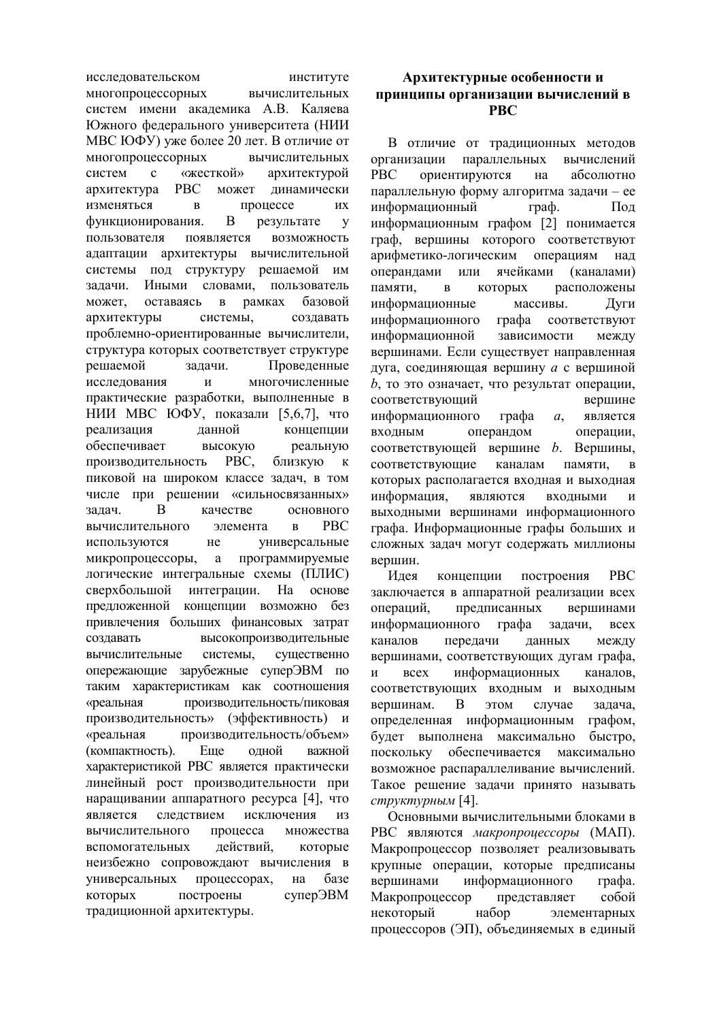исследовательском институте многопроцессорных вычислительных систем имени академика А.В. Каляева Южного федерального университета (НИИ МВС ЮФУ) уже более 20 лет. В отличие от многопроцессорных вычислительных систем  $\mathbf{c}$ «жесткой» архитектурой может **PBC** динамически архитектура изменяться процессе ИХ  $\overline{R}$ функционирования. B результате  $\overline{\mathbf{V}}$ пользователя появляется возможность адаптации архитектуры вычислительной системы под структуру решаемой им задачи. Иными словами, пользователь может, оставаясь  $\overline{B}$ рамках базовой архитектуры системы. создавать проблемно-ориентированные вычислители, структура которых соответствует структуре решаемой задачи. Проведенные исследования  $\overline{M}$ многочисленные практические разработки, выполненные в НИИ МВС ЮФУ, показали [5,6,7], что данной концепции реализация обеспечивает высокую реальную PBC. близкую производительность  $\mathbf K$ пиковой на широком классе задач, в том числе при решении «сильносвязанных» задач. B качестве основного **PBC** вычислительного элемента  $\mathbf{p}$ используются  $He$ универсальные микропроцессоры, a программируемые логические интегральные схемы (ПЛИС) сверхбольшой интеграции. На основе предложенной концепции возможно  $6e<sub>3</sub>$ привлечения больших финансовых затрат высокопроизводительные создавать вычислительные системы. сушественно опережающие зарубежные суперЭВМ по таким характеристикам как соотношения производительность/пиковая «реальная производительность» (эффективность) и «реальная производительность/объем» (компактность). Eme олной важной характеристикой РВС является практически линейный рост производительности при наращивании аппаратного ресурса [4], что является следствием исключения **ИЗ** вычислительного процесса множества действий. которые вспомогательных неизбежно сопровождают вычисления в процессорах, универсальных на базе которых построены суперЭВМ традиционной архитектуры.

# Архитектурные особенности и принципы организации вычислений в **PRC**

В отличие от традиционных методов организации параллельных вычислений ориентируются на **PBC** абсолютно параллельную форму алгоритма задачи - ее информационный  $\mathbf{r}$   $\mathbf{p}$   $\mathbf{a}$   $\mathbf{b}$ . Пол информационным графом [2] понимается граф, вершины которого соответствуют арифметико-логическим операциям нал ячейками операндами или (каналами) памяти. расположены которых  $\overline{B}$ информационные массивы. Дуги информационного соответствуют rpada информационной зависимости между вершинами. Если существует направленная дуга, соединяющая вершину а с вершиной  $b$ , то это означает, что результат операции, соответствующий вершине информационного графа  $a_{\rm s}$ является входным операндом операции, соответствующей вершине  $b$ . Вершины. соответствующие каналам памяти.  $\mathbf{R}$ которых располагается входная и выходная информация, являются входными  $\overline{M}$ выходными вершинами информационного графа. Информационные графы больших и сложных залач могут содержать миллионы вершин.

Идея концепции построения **PBC** заключается в аппаратной реализации всех предписанных операций. вершинами информационного графа задачи, **BCCX** каналов передачи данных между вершинами, соответствующих дугам графа, информационных  $\overline{M}$  $_{\rm{R}\rm{c}\rm{e}\rm{x}}$ каналов. соответствующих входным и выходным вершинам. B этом случае задача. определенная информационным графом. будет выполнена максимально быстро. поскольку обеспечивается максимально возможное распараллеливание вычислений. Такое решение задачи принято называть структурным [4].

Основными вычислительными блоками в РВС являются макропроцессоры (МАП). Макропроцессор позволяет реализовывать крупные операции, которые предписаны вершинами информационного графа. Макропроцессор представляет собой некоторый набор элементарных процессоров (ЭП), объединяемых в единый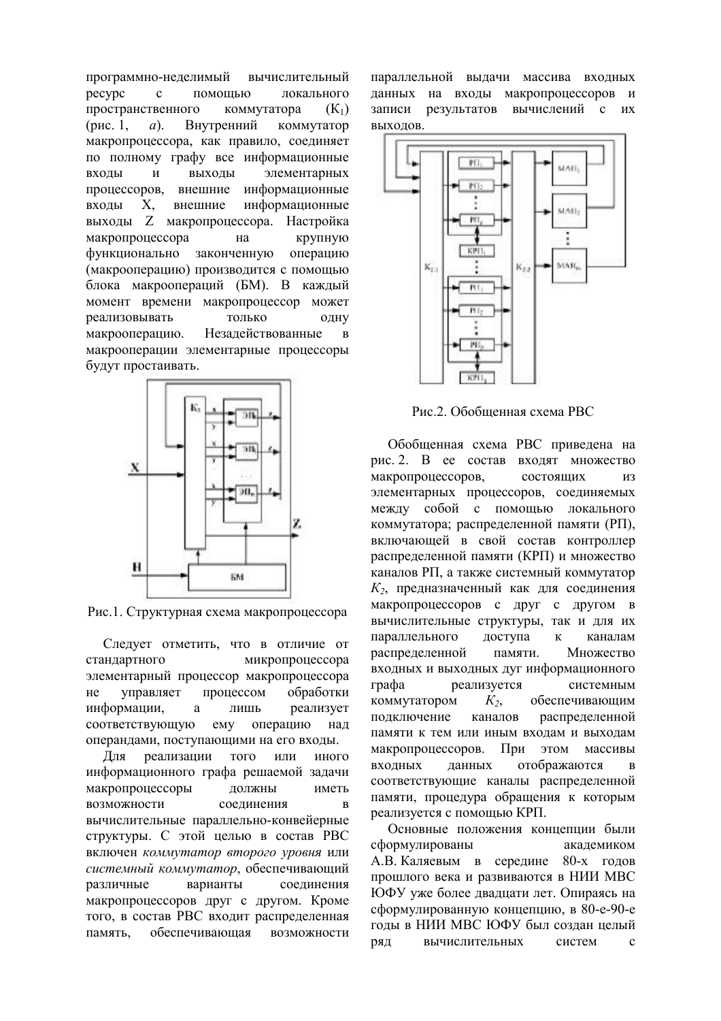программно-неделимый вычислительный pecypc помошью локального  $\mathfrak{g}$ пространственного коммутатора  $(K_1)$ Внутренний (рис. 1,  $a)$ . коммутатор макропроцессора, как правило, соединяет по полному графу все информационные выходы элементарных входы  $\overline{M}$ процессоров. внешние информационные входы X, внешние информационные выходы Z макропроцессора. Настройка макропроцессора крупную на функционально законченную операцию (макрооперацию) производится с помощью блока макроопераций (БМ). В каждый момент времени макропроцессор может реализовывать ТОПЬКО ОДНУ макрооперацию. Незалействованные  $\mathbf{R}$ макрооперации элементарные процессоры будут простаивать.



Рис.1. Структурная схема макропроцессора

Следует отметить, что в отличие от стандартного микропроцессора элементарный процессор макропроцессора управляет процессом обработки He информации, лишь реализует a соответствующую emy операцию над операндами, поступающими на его входы.

реализации того Лля или иного информационного графа решаемой задачи макропроцессоры должны иметь возможности соелинения  $\overline{R}$ вычислительные параллельно-конвейерные структуры. С этой целью в состав РВС включен коммутатор второго уровня или системный коммутатор, обеспечивающий варианты различные соелинения макропроцессоров друг с другом. Кроме того, в состав РВС входит распределенная обеспечивающая память. возможности параллельной вылачи массива входных данных на входы макропроцессоров и записи результатов вычислений с их выходов.



Рис.2. Обобщенная схема РВС

Обобщенная схема РВС приведена на рис. 2. В ее состав входят множество макропроцессоров. состоящих  $\overline{u}$ элементарных процессоров, соединяемых между собой с помощью локального коммутатора; распределенной памяти (РП), включающей в свой состав контроллер распределенной памяти (КРП) и множество каналов РП, а также системный коммутатор  $K_2$ , предназначенный как для соединения макропроцессоров с друг с другом в вычислительные структуры, так и для их параллельного доступа  $\overline{\mathbf{K}}$ каналам распределенной памяти. Множество входных и выходных дуг информационного rnada реализуется системным коммутатором  $K_{2}$ обеспечивающим подключение каналов распределенной памяти к тем или иным входам и выходам макропроцессоров. При этом массивы отображаются вхолных ланных  $\mathbf{R}$ соответствующие каналы распределенной памяти, процедура обращения к которым реализуется с помощью КРП.

Основные положения концепции были сформулированы акалемиком А.В. Каляевым в середине 80-х годов прошлого века и развиваются в НИИ МВС ЮФУ уже более двадцати лет. Опираясь на сформулированную концепцию, в 80-е-90-е голы в НИИ МВС ЮФУ был созлан нелый вычислительных систем ряд  $\mathbf{c}$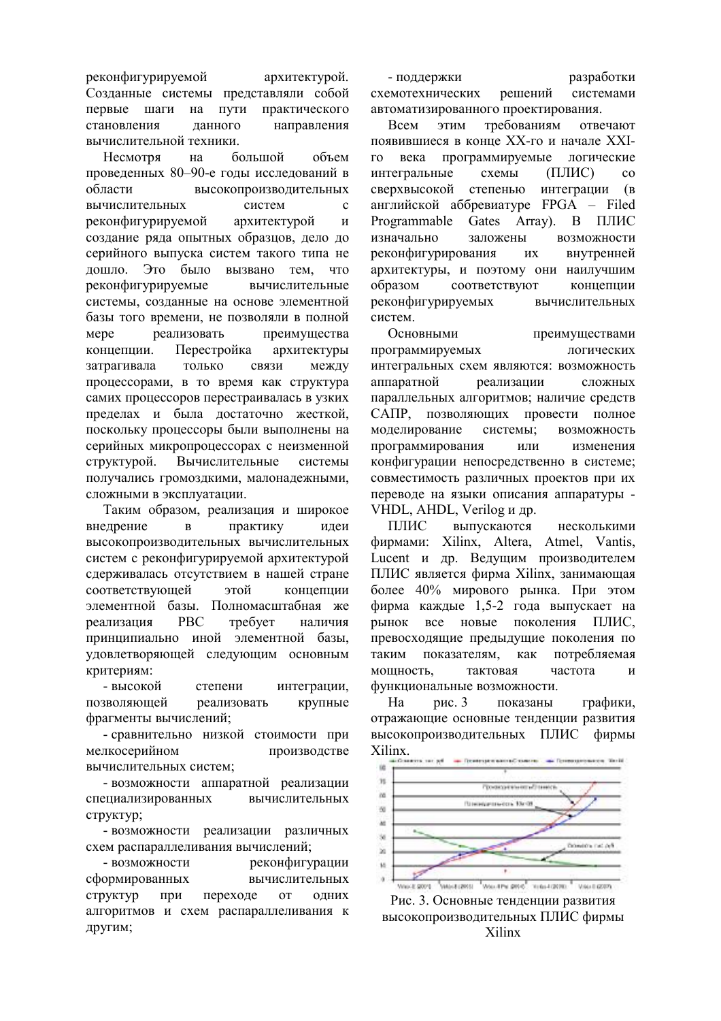реконфигурируемой архитектурой. Созданные системы представляли собой первые шаги на ПУТИ практического становления данного направления вычислительной техники.

Несмотря на большой объем проведенных 80-90-е годы исследований в области высокопроизводительных вычислительных систем  $\mathbf{c}$ реконфигурируемой архитектурой  $\overline{M}$ создание ряда опытных образцов, дело до серийного выпуска систем такого типа не дошло. Это было вызвано тем. что реконфигурируемые вычислительные системы, созданные на основе элементной базы того времени, не позволяли в полной Mepe реализовать преимущества концепции. Перестройка архитектуры только затрагивала связи между процессорами, в то время как структура самих процессоров перестраивалась в узких пределах и была достаточно жесткой, поскольку процессоры были выполнены на серийных микропроцессорах с неизменной Вычислительные структурой. системы получались громоздкими, малонадежными, сложными в эксплуатации.

Таким образом, реализация и широкое внелрение практику илеи  $\overline{B}$ высокопроизводительных вычислительных систем с реконфигурируемой архитектурой сдерживалась отсутствием в нашей стране соответствующей этой концепции элементной базы. Полномасштабная же реализация **PBC** требует наличия принципиально иной элементной базы, удовлетворяющей следующим основным критериям:

- высокой интеграции, степени позволяющей реализовать крупные фрагменты вычислений;

- сравнительно низкой стоимости при мелкосерийном производстве вычислительных систем:

- возможности аппаратной реализации специализированных вычислительных структур;

- возможности реализации различных схем распараллеливания вычислений;

- возможности реконфигурации сформированных вычислительных **CTDVKTVD** при переходе  $_{\text{OT}}$ ОДНИХ алгоритмов и схем распараллеливания к другим;

- поллержки разработки схемотехнических решений системами автоматизированного проектирования.

Всем ЭТИМ требованиям отвечают появившиеся в конце XX-го и начале XXIпрограммируемые логические  $\Gamma$   $\Omega$ века интегральные  $(IIIMC)$ схемы  $\overline{c}$ сверхвысокой степенью интеграции (в английской аббревиатуре FPGA - Filed Programmable Gates Array). В ПЛИС изначально заложены возможности реконфигурирования внутренней ИХ архитектуры, и поэтому они наилучшим соответствуют образом концепции реконфигурируемых вычислительных систем

Основными преимуществами программируемых логических интегральных схем являются: возможность аппаратной реализации сложных параллельных алгоритмов; наличие средств САПР, позволяющих провести полное моделирование системы; возможность программирования или изменения конфигурации непосредственно в системе; совместимость различных проектов при их переводе на языки описания аппаратуры -VHDL, AHDL, Verilog и др.

ПЛИС выпускаются несколькими фирмами: Xilinx, Altera, Atmel, Vantis, Lucent и др. Ведущим производителем ПЛИС является фирма Xilinx, занимающая более 40% мирового рынка. При этом фирма каждые 1,5-2 года выпускает на рынок **BCC** новые поколения ПЛИС, превосходящие предыдущие поколения по таким показателям. как потребляемая мощность, тактовая частота  $\overline{u}$ функциональные возможности.

 $Ha$ рис. 3 показаны графики. отражающие основные тенденции развития высокопроизводительных ПЛИС фирмы Xilinx.



Рис. 3. Основные тенденции развития высокопроизводительных ПЛИС фирмы Xilinx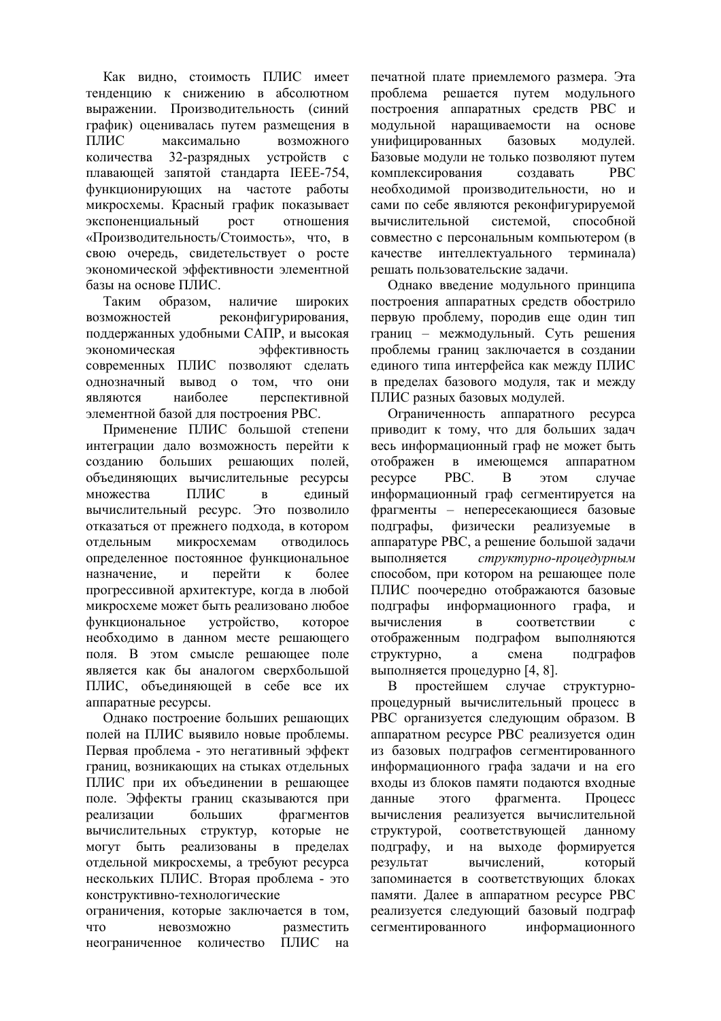Как вилно, стоимость ПЛИС имеет тенденцию к снижению в абсолютном выражении. Производительность (синий график) оценивалась путем размещения в ПЛИС максимально **ВОЗМОЖНОГО** количества 32-разрядных устройств с плавающей запятой стандарта IEEE-754, функционирующих на частоте работы микросхемы. Красный график показывает экспоненциальный **DOCT** отношения «Производительность/Стоимость», что, в свою очередь, свидетельствует о росте экономической эффективности элементной базы на основе ПЛИС.

Таким образом. наличие широких возможностей реконфигурирования, поддержанных удобными САПР, и высокая экономическая эффективность современных ПЛИС позволяют сделать олнозначный ВЫВОД TOM. что ОНИ  $\alpha$ наиболее перспективной являются элементной базой для построения РВС.

Применение ПЛИС большой степени интеграции дало возможность перейти к созланию больших решающих полей. объединяющих вычислительные ресурсы ПЛИС множества  $\overline{B}$ елиный вычислительный ресурс. Это позволило отказаться от прежнего подхода, в котором микросхемам отводилось отдельным определенное постоянное функциональное перейти назначение.  $\overline{M}$ более  $\mathbf{k}$ прогрессивной архитектуре, когда в любой микросхеме может быть реализовано любое функциональное устройство. которое необходимо в данном месте решающего поля. В этом смысле решающее поле является как бы аналогом сверхбольшой ПЛИС, объединяющей в себе все их аппаратные ресурсы.

Однако построение больших решающих полей на ПЛИС выявило новые проблемы. Первая проблема - это негативный эффект границ, возникающих на стыках отдельных ПЛИС при их объединении в решающее поле. Эффекты границ сказываются при реализации больших фрагментов вычислительных структур. которые не могут быть реализованы пределах  $\, {\bf B}$ отдельной микросхемы, а требуют ресурса нескольких ПЛИС. Вторая проблема - это конструктивно-технологические ограничения, которые заключается в том, ч<sub>ТО</sub> невозможно разместить

ПЛИС

на

неограниченное количество

печатной плате приемлемого размера. Эта проблема решается путем модульного построения аппаратных средств РВС и модульной наращиваемости на основе унифицированных базовых модулей. Базовые модули не только позволяют путем комплексирования создавать **PBC** необходимой производительности, но и сами по себе являются реконфигурируемой вычислительной системой. способной совместно с персональным компьютером (в качестве интеллектуального терминала) решать пользовательские задачи.

Однако введение модульного принципа построения аппаратных средств обострило первую проблему, породив еще один тип границ - межмодульный. Суть решения проблемы границ заключается в создании единого типа интерфейса как между ПЛИС в пределах базового модуля, так и между ПЛИС разных базовых модулей.

Ограниченность аппаратного ресурса приводит к тому, что для больших задач весь информационный граф не может быть имеющемся отображен  $\mathbf{B}$ аппаратном pecypce PBC.  $\overline{R}$ случае этом информационный граф сегментируется на фрагменты - непересекающиеся базовые физически полграфы. реализуемые  $\mathbf{B}$ аппаратуре РВС, а решение большой задачи структурно-процедурным выполняется способом, при котором на решающее поле ПЛИС поочередно отображаются базовые подграфы информационного графа.  $\overline{M}$ вычисления  $\overline{B}$ соответствии  $\mathbf{c}$ отображенным подграфом выполняются структурно,  $\mathbf{a}$ смена подграфов выполняется процедурно [4, 8].

случае B простейшем структурнопроцедурный вычислительный процесс в РВС организуется следующим образом. В аппаратном ресурсе РВС реализуется один из базовых подграфов сегментированного информационного графа задачи и на его входы из блоков памяти подаются входные фрагмента. Процесс данные этого вычисления реализуется вычислительной структурой. соответствующей ланному подграфу, и на выходе формируется результат вычислений, который запоминается в соответствующих блоках памяти. Далее в аппаратном ресурсе РВС реализуется следующий базовый подграф сегментированного информационного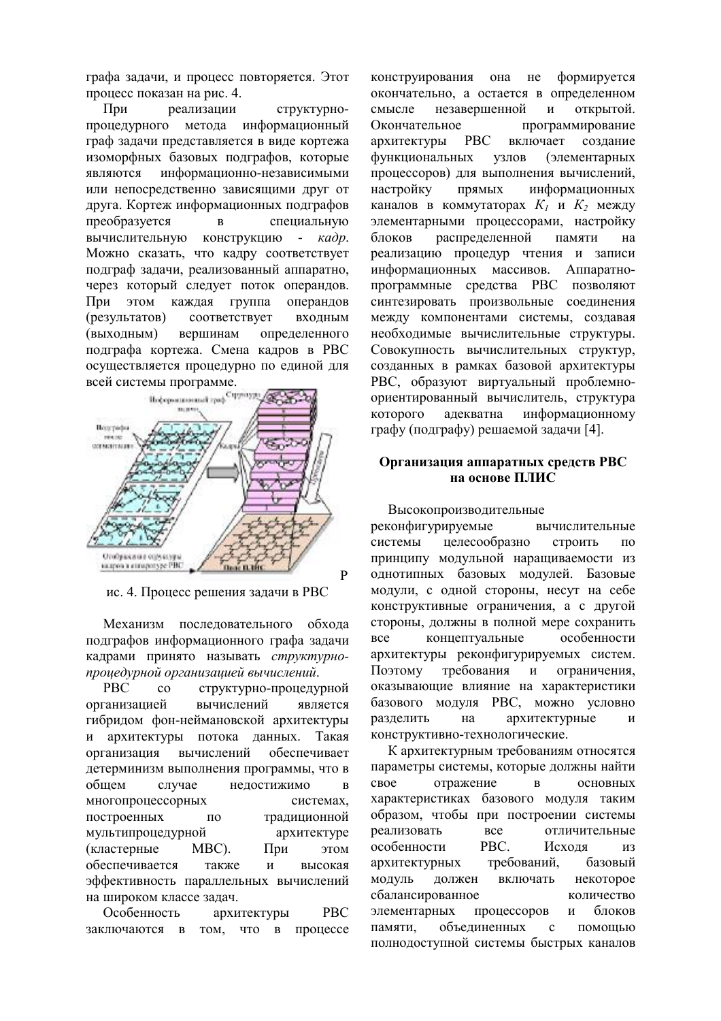графа залачи, и процесс повторяется. Этот процесс показан на рис. 4.

При реализании структурнопроцедурного метода информационный граф задачи представляется в виде кортежа изоморфных базовых подграфов, которые информационно-независимыми являются или непосредственно зависящими друг от друга. Кортеж информационных подграфов преобразуется  $\overline{B}$ специальную вычислительную конструкцию  $- \kappa a \partial p$ . Можно сказать, что кадру соответствует подграф задачи, реализованный аппаратно, через который следует поток операндов. При ЭТОМ каждая группа операндов (результатов) соответствует входным (выходным) вершинам определенного подграфа кортежа. Смена кадров в РВС осуществляется процедурно по единой для всей системы программе.



ис. 4. Процесс решения задачи в РВС

Механизм последовательного обхода подграфов информационного графа задачи кадрами принято называть структурнопроиедурной организацией вычислений.

**PBC**  $\overline{c}$ структурно-процедурной организацией вычислений является гибридом фон-неймановской архитектуры и архитектуры потока данных. Такая организация вычислений обеспечивает детерминизм выполнения программы, что в общем случае недостижимо  $\overline{R}$ многопроцессорных системах. построенных традиционной  $\Pi$ O мультипроцедурной архитектуре (кластерные MBC). При этом обеспечивается также  $\overline{M}$ высокая эффективность параллельных вычислений на широком классе залач.

Особенность архитектуры **PBC** заключаются в том, что в процессе конструирования она не формируется окончательно, а остается в определенном незавершенной открытой. смысле  $\overline{M}$ Окончательное программирование архитектуры **PBC** включает созлание функциональных узлов (элементарных процессоров) для выполнения вычислений. настройку Прямых информационных каналов в коммутаторах  $K_1$  и  $K_2$  между элементарными процессорами, настройку распределенной памяти блоков на реализацию процедур чтения и записи информационных массивов. Аппаратнопрограммные средства РВС позволяют синтезировать произвольные соединения между компонентами системы, создавая необходимые вычислительные структуры. Совокупность вычислительных структур, созданных в рамках базовой архитектуры РВС, образуют виртуальный проблемноориентированный вычислитель, структура которого адекватна информационному графу (подграфу) решаемой задачи [4].

## Организация аппаратных средств РВС на основе ПЛИС

Высокопроизводительные

реконфигурируемые вычислительные целесообразно системы строить  $\overline{10}$ принципу модульной наращиваемости из однотипных базовых модулей. Базовые модули, с одной стороны, несут на себе конструктивные ограничения, а с другой стороны, должны в полной мере сохранить концептуальные особенности **BCC** архитектуры реконфигурируемых систем. требования Поэтому И ограничения. оказывающие влияние на характеристики базового модуля РВС, можно условно архитектурные разделить на  $\mathbf{u}$ конструктивно-технологические.

К архитектурным требованиям относятся параметры системы, которые должны найти  $c$ <sub>RO</sub> $e$ отражение  $\overline{B}$ **ОСНОВНЫХ** характеристиках базового модуля таким образом, чтобы при построении системы реализовать  $\mathbf{R}$ отличительные PBC. особенности Исхоля **ИЗ** архитектурных требований, базовый модуль должен включать некоторое сбалансированное количество элементарных процессоров блоков  $\mathbf{M}$ памяти объелиненных  $\mathfrak{c}$ помошью полнодоступной системы быстрых каналов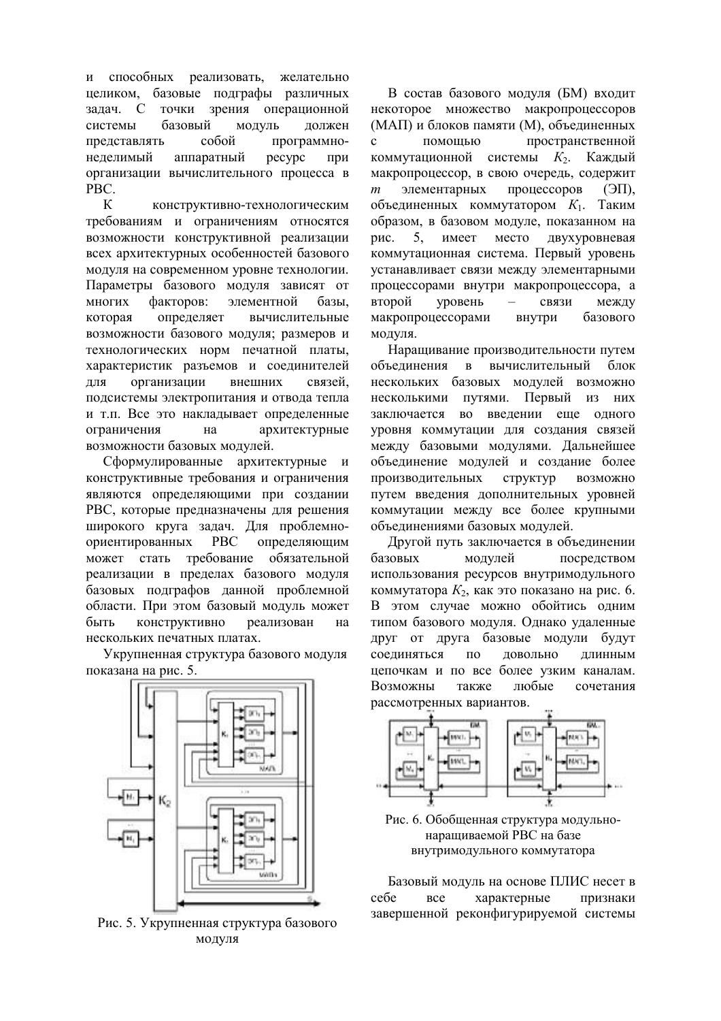и способных реализовать, желательно целиком, базовые подграфы различных точки зрения операционной залач. С системы базовый модуль должен собой программнопредставлять неделимый аппаратный pecypc при организации вычислительного процесса в PBC.

 $\kappa$ конструктивно-технологическим требованиям и ограничениям относятся возможности конструктивной реализации всех архитектурных особенностей базового модуля на современном уровне технологии. Параметры базового модуля зависят от многих факторов: элементной базы. которая определяет вычислительные возможности базового модуля; размеров и технологических норм печатной платы, характеристик разъемов и соединителей ЛЛЯ организации внешних связей. подсистемы электропитания и отвода тепла и т.п. Все это накладывает определенные ограничения архитектурные на возможности базовых модулей.

Сформулированные архитектурные и конструктивные требования и ограничения являются определяющими при создании РВС, которые предназначены для решения широкого круга задач. Для проблемноориентированных **PBC** определяющим требование обязательной может стать реализации в пределах базового модуля базовых подграфов данной проблемной области. При этом базовый модуль может быть конструктивно реализован на нескольких печатных платах.

Укрупненная структура базового модуля показана на рис. 5.



Рис. 5. Укрупненная структура базового молуля

В состав базового модуля (БМ) входит некоторое множество макропроцессоров (МАП) и блоков памяти (М), объединенных  $\mathbf{c}$ помошью пространственной коммутационной системы  $K_2$ . Каждый макропроцессор, в свою очередь, содержит процессоров  $\boldsymbol{m}$ элементарных  $(\exists \Pi)$ . объединенных коммутатором  $K_1$ . Таким образом, в базовом модуле, показанном на 5, имеет место двухуровневая рис. коммутационная система. Первый уровень устанавливает связи между элементарными процессорами внутри макропроцессора, а второй уровень связи между макропроцессорами внутри базового модуля.

Наращивание производительности путем  $\mathbf{B}$ вычислительный объединения блок нескольких базовых модулей возможно путями. Первый из них несколькими введении еще одного заключается во уровня коммутации для создания связей между базовыми модулями. Дальнейшее объединение модулей и создание более производительных структур возможно путем введения дополнительных уровней коммутации между все более крупными объелинениями базовых молулей.

Другой путь заключается в объединении базовых модулей посредством использования ресурсов внутримодульного коммутатора  $K_2$ , как это показано на рис. 6. В этом случае можно обойтись одним типом базового модуля. Однако удаленные друг от друга базовые модули будут соелиняться  $\overline{10}$ ЛОВОЛЬНО ллинным цепочкам и по все более узким каналам. Возможны также любые сочетания рассмотренных вариантов.



Рис. 6. Обобщенная структура модульнонарашиваемой РВС на базе внутримодульного коммутатора

Базовый модуль на основе ПЛИС несет в **BCC** характерные признаки ce<sub>бe</sub> завершенной реконфигурируемой системы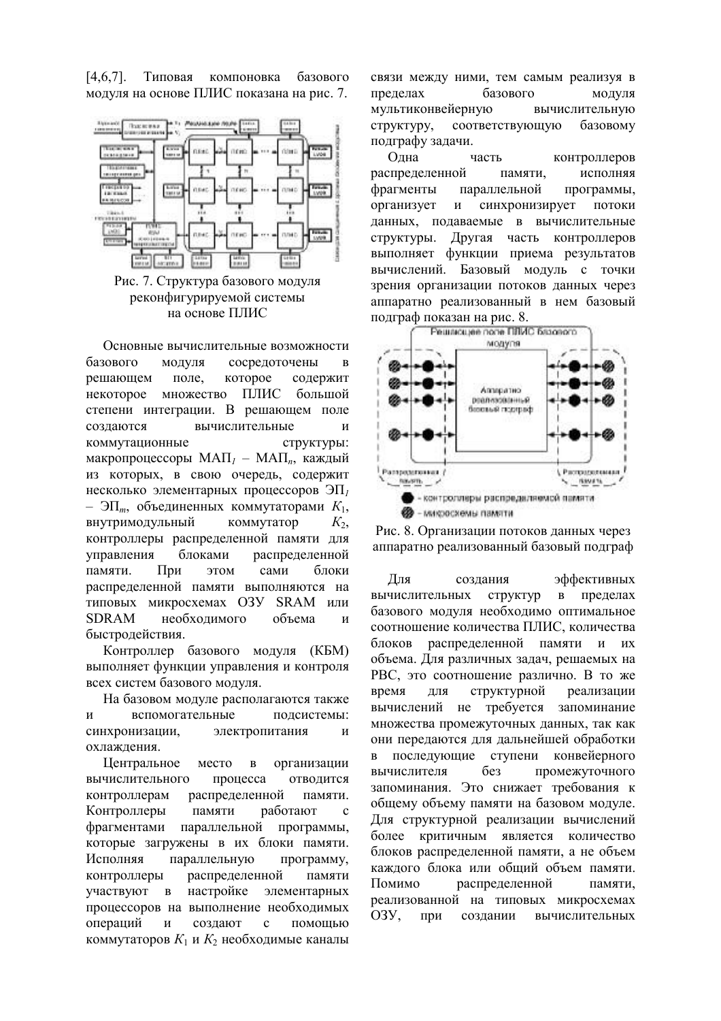$[467]$ Типовая компоновка базового модуля на основе ПЛИС показана на рис. 7.





Основные вычислительные возможности базового модуля сосредоточены  $\overline{R}$ решающем поле. которое содержит множество ПЛИС некоторое большой степени интеграции. В решающем поле создаются вычислительные И коммутационные структуры: макропроцессоры МАП<sub> $l$ </sub> – МАП<sub> $n$ </sub>, каждый из которых, в свою очередь, содержит несколько элементарных процессоров  $\partial\Pi_l$ - ЭП<sub>*m*</sub>, объединенных коммутаторами  $K_1$ , внутримодульный коммутатор  $K_2$ , контроллеры распределенной памяти для управления блоками распределенной памяти.  $Пnu$ этом сами блоки распределенной памяти выполняются на типовых микросхемах O3У SRAM или **SDRAM** необхолимого объема  $\overline{M}$ быстродействия.

Контроллер базового модуля (КБМ) выполняет функции управления и контроля всех систем базового модуля.

На базовом молуле располагаются также вспомогательные  $\overline{M}$ полсистемы: синхронизации, электропитания  $\overline{M}$ охлаждения.

Центральное место  $\overline{R}$ организации вычислительного процесса отволится контроллерам распределенной памяти. Контроллеры памяти работают  $\mathfrak{c}$ фрагментами параллельной программы, которые загружены в их блоки памяти. Исполняя параллельную программу, распределенной контроллеры памяти настройке участвуют в элементарных процессоров на выполнение необходимых операний  $\overline{M}$ созлают  $\mathbf{c}$ помошью коммутаторов  $K_1$  и  $K_2$  необходимые каналы

связи между ними, тем самым реализуя в базового пределах модуля мультиконвейерную вычислительную структуру, соответствующую базовому подграфу задачи.

Олна контроллеров часть распределенной памяти, исполняя фрагменты параллельной программы, организует синхронизирует  $\boldsymbol{\mathrm{M}}$ потоки ланных, полаваемые в вычислительные Другая часть контроллеров структуры. выполняет функции приема результатов вычислений. Базовый модуль с точки зрения организации потоков данных через аппаратно реализованный в нем базовый подграф показан на рис. 8.





Для созлания эффективных вычислительных **CTDVKTVD**  $\overline{B}$ пределах базового модуля необходимо оптимальное соотношение количества ПЛИС, количества блоков распределенной памяти и их объема. Для различных задач, решаемых на РВС, это соотношение различно. В то же структурной время ДЛЯ реализации вычислений не требуется запоминание множества промежуточных данных, так как они передаются для дальнейшей обработки последующие ступени конвейерного  $\mathbf{B}$ вычислителя без промежуточного запоминания. Это снижает требования к общему объему памяти на базовом модуле. Лля структурной реализации вычислений более критичным является количество блоков распределенной памяти, а не объем каждого блока или общий объем памяти. Помимо распределенной памяти. реализованной на типовых микросхемах  $O<sub>3</sub>$ вычислительных при создании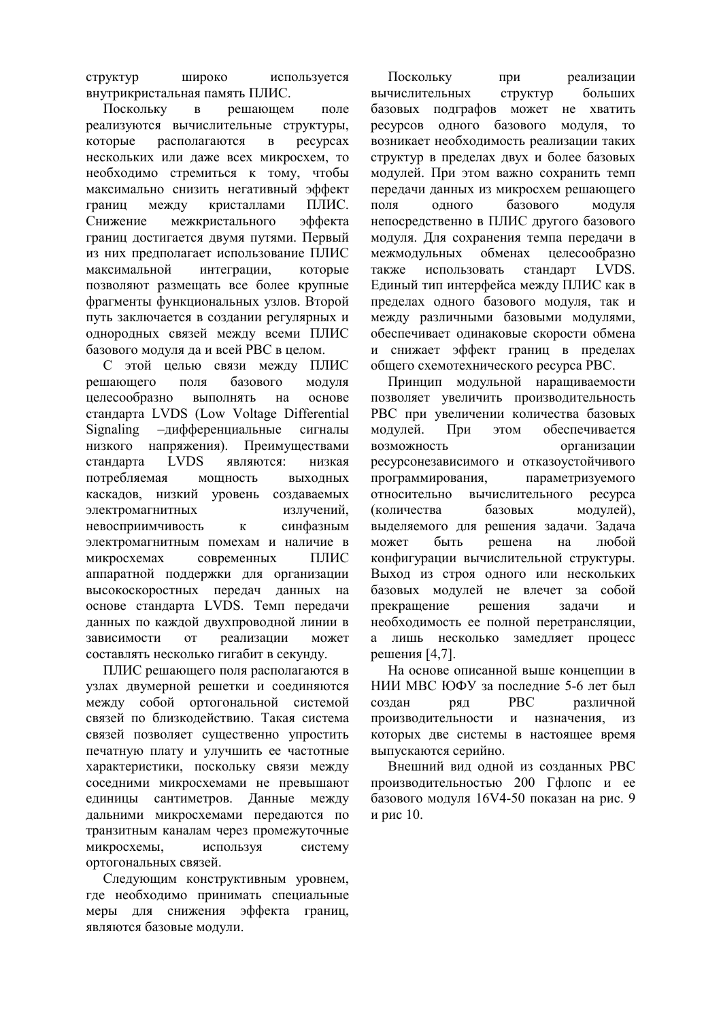**CTDVKTVD** широко используется внутрикристальная память ПЛИС.

Поскольку решающем  $\overline{B}$ поле реализуются вычислительные структуры, которые располагаются  $\overline{B}$ pecypcax нескольких или даже всех микросхем, то необходимо стремиться к тому, чтобы максимально снизить негативный эффект между кристаллами ПЛИС. границ Снижение межкристального эффекта границ достигается двумя путями. Первый из них предполагает использование ПЛИС максимальной интеграции, которые позволяют размещать все более крупные фрагменты функциональных узлов. Второй путь заключается в создании регулярных и однородных связей между всеми ПЛИС базового модуля да и всей РВС в целом.

С этой целью связи между ПЛИС решающего поля базового модуля основе целесообразно ВЫПОЛНЯТЬ на стандарта LVDS (Low Voltage Differential Signaling -дифференциальные сигналы низкого напряжения). Преимуществами **LVDS** стандарта являются: низкая потребляемая мошность **ВЫХОЛНЫХ** каскадов, низкий уровень создаваемых электромагнитных излучений, невосприимчивость синфазным  $\mathbf{K}$ электромагнитным помехам и наличие в микросхемах современных ПЛИС аппаратной поддержки для организации высокоскоростных передач данных на основе стандарта LVDS. Темп передачи данных по каждой двухпроводной линии в зависимости реализации **OT** может составлять несколько гигабит в секунду.

ПЛИС решающего поля располагаются в узлах двумерной решетки и соединяются межлу собой ортогональной системой связей по близкодействию. Такая система связей позволяет существенно упростить печатную плату и улучшить ее частотные характеристики, поскольку связи между соседними микросхемами не превышают единицы сантиметров. Данные между дальними микросхемами передаются по транзитным каналам через промежуточные микросхемы, используя систему ортогональных связей.

Следующим конструктивным уровнем, где необходимо принимать специальные меры для снижения эффекта границ, являются базовые модули.

Поскольку при реализации вычислительных структур больших базовых подграфов может не хватить ресурсов одного базового модуля, то возникает необходимость реализации таких структур в пределах двух и более базовых модулей. При этом важно сохранить темп передачи данных из микросхем решающего поля одного базового модуля непосредственно в ПЛИС другого базового модуля. Для сохранения темпа передачи в межмодульных обменах целесообразно LVDS. использовать стандарт также Единый тип интерфейса между ПЛИС как в пределах одного базового модуля, так и между различными базовыми модулями, обеспечивает одинаковые скорости обмена и снижает эффект границ в пределах общего схемотехнического ресурса РВС.

Принцип модульной наращиваемости позволяет увеличить производительность РВС при увеличении количества базовых модулей. При этом обеспечивается возможность организации ресурсонезависимого и отказоустойчивого программирования. параметризуемого относительно вычислительного pecypca (количества базовых модулей), вылеляемого для решения задачи. Задача может быть решена на любой конфигурации вычислительной структуры. Выход из строя одного или нескольких базовых модулей не влечет за собой прекращение решения залачи  $\overline{M}$ необходимость ее полной перетрансляции. а лишь несколько замедляет процесс решения [4,7].

На основе описанной выше концепции в НИИ МВС ЮФУ за последние 5-6 лет был **PBC** различной создан ряд производительности и назначения, **ИЗ** которых две системы в настоящее время выпускаются серийно.

Внешний вил олной из созланных РВС производительностью 200 Гфлопс и ее базового модуля 16V4-50 показан на рис. 9 и рис 10.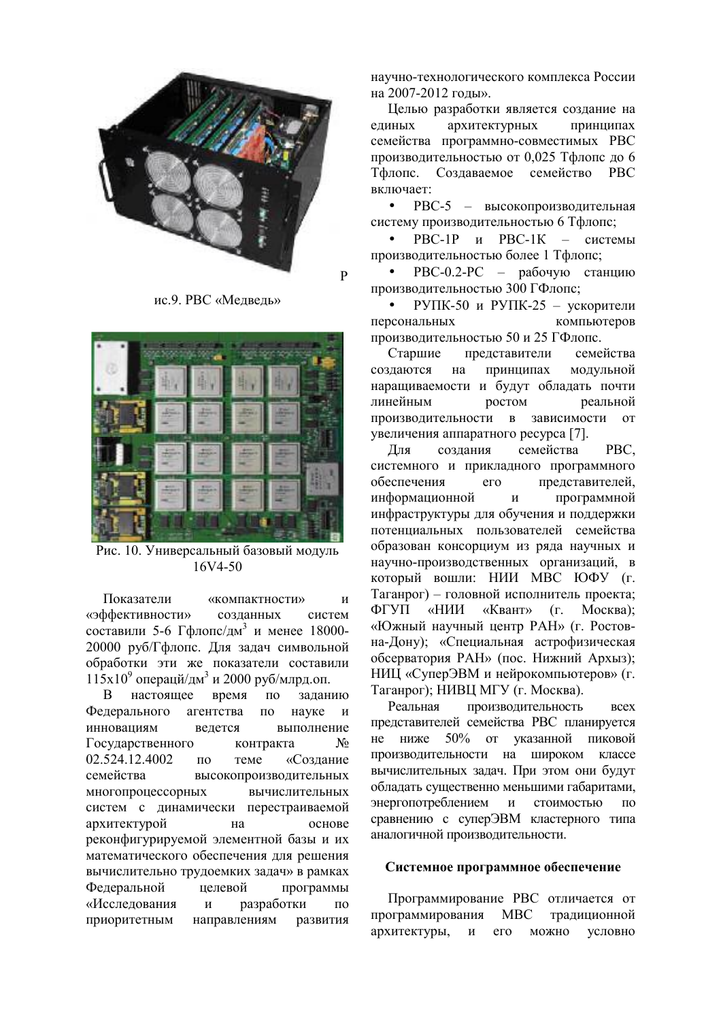

 $\overline{p}$ 

ис.9. РВС «Медведь»



Рис. 10. Универсальный базовый модуль 16V4-50

Показатели «компактности»  $\overline{M}$ «эффективности» созданных систем составили 5-6 Гфлопс/дм<sup>3</sup> и менее 18000-20000 руб/Гфлопс. Для задач символьной обработки эти же показатели составили  $115x10^9$  операци/дм<sup>3</sup> и 2000 руб/млрд.оп.

 $\overline{B}$ настояшее время  $\overline{10}$ заланию Фелерального агентства  $\overline{10}$ науке  $\mathbf{u}$ инновациям выполнение велется Государственного контракта No 02.524.12.4002 теме «Созлание  $\Pi$ <sup>O</sup> семейства высокопроизводительных многопроцессорных вычислительных систем с динамически перестраиваемой архитектурой основе на реконфигурируемой элементной базы и их математического обеспечения для решения вычислительно трудоемких задач» в рамках Федеральной нелевой программы «Исследования  $\mathbf{M}$ разработки  $\overline{10}$ приоритетным направлениям развития научно-технологического комплекса России на 2007-2012 годы».

Целью разработки является создание на единых архитектурных принципах семейства программно-совместимых РВС производительностью от 0,025 Тфлопс до 6 Тфлопс. Создаваемое семейство РВС включает:

РВС-5 - высокопроизводительная  $\bullet$ систему производительностью 6 Тфлопс;

PBC-1P и PBC-1К - системы производительностью более 1 Тфлопс;

РВС-0.2-РС - рабочую станцию производительностью 300 ГФлопс;

РУПК-50 и РУПК-25 - ускорители персональных компьютеров производительностью 50 и 25 ГФлопс.

Старшие представители семейства создаются принципах модульной на наращиваемости и будут обладать почти линейным ростом реальной в зависимости от производительности увеличения аппаратного ресурса [7].

Лля создания семейства PBC. системного и прикладного программного представителей, обеспечения  $er<sub>o</sub>$ информационной  $\mathbf{M}$ программной инфраструктуры для обучения и поддержки потенциальных пользователей семейства образован консорциум из ряда научных и научно-производственных организаций, в который вошли: НИИ МВС ЮФУ (г. Таганрог) - головной исполнитель проекта; «Квант» ФГУП «НИИ  $(r. \tMocrba)$ : «Южный научный центр РАН» (г. Ростовна-Дону); «Специальная астрофизическая обсерватория РАН» (пос. Нижний Архыз); НИЦ «СуперЭВМ и нейрокомпьютеров» (г. Таганрог); НИВЦ МГУ (г. Москва).

производительность Реальная **BCCX** представителей семейства РВС планируется не ниже 50% от указанной пиковой производительности на широком классе вычислительных задач. При этом они будут обладать существенно меньшими габаритами, энергопотреблением и стоимостью  $\Pi$ <sup>O</sup> сравнению с суперЭВМ кластерного типа аналогичной производительности.

### Системное программное обеспечение

Программирование РВС отличается от программирования **MBC** традиционной архитектуры,  $\boldsymbol{\mathrm{M}}$ его можно условно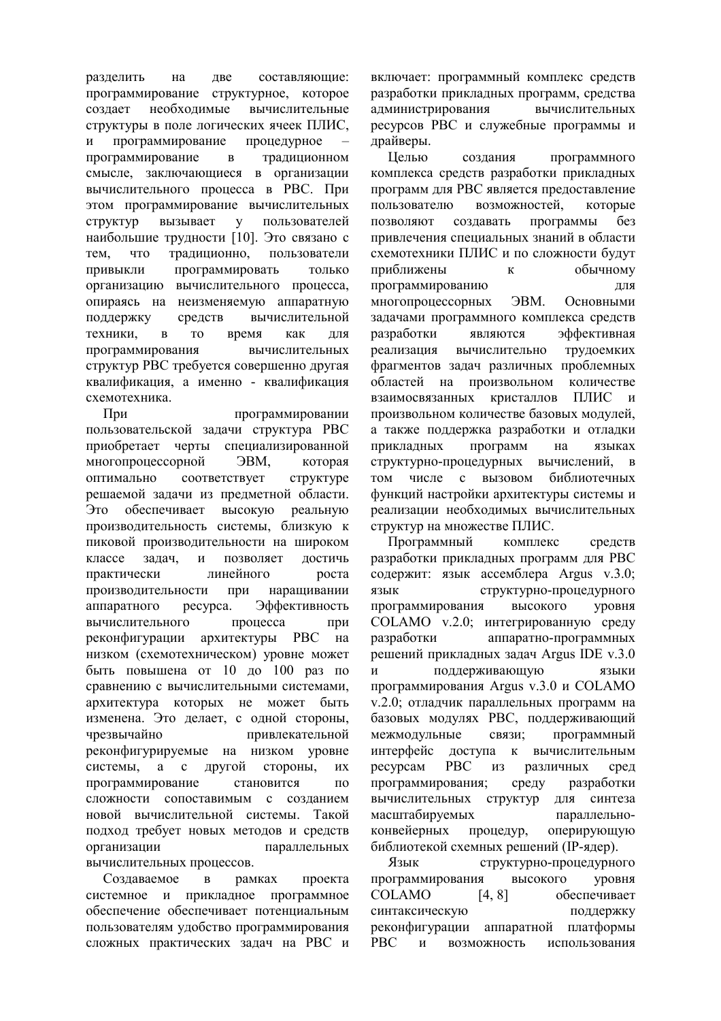разделить на лве составляющие: программирование структурное, которое созлает необходимые вычислительные структуры в поле логических ячеек ПЛИС,  $\overline{M}$ программирование процедурное программирование  $\overline{B}$ традиционном смысле, заключающиеся в организации вычислительного процесса в РВС. При этом программирование вычислительных вызывает пользователей **CTDVKTVD**  $\mathbf{V}$ наибольшие трудности [10]. Это связано с традиционно, тем, ЧTO пользователи Привыкли программировать только организацию вычислительного процесса, опираясь на неизменяемую аппаратную средств поддержку вычислительной техники. время  $\overline{B}$ T<sub>O</sub> как ЛЛЯ программирования вычислительных структур РВС требуется совершенно другая квалификация, а именно - квалификация схемотехника.

При программировании пользовательской задачи структура РВС приобретает черты специализированной многопроцессорной **JBM.** которая оптимально соответствует структуре решаемой задачи из предметной области. Это обеспечивает высокую реальную производительность системы. близкую к пиковой производительности на широком классе залач.  $\mathbf{M}$ позволяет достичь практически линейного роста производительности при наращивании аппаратного pecypca. Эффективность вычислительного процесса при реконфигурации архитектуры РВС на низком (схемотехническом) уровне может быть повышена от 10 до 100 раз по сравнению с вычислительными системами, архитектура которых не может быть изменена. Это делает, с одной стороны, чрезвычайно привлекательной реконфигурируемые на низком уровне системы, а с другой стороны. ИX программирование становится  $\overline{10}$ сложности сопоставимым с созданием новой вычислительной системы. Такой подход требует новых методов и средств организации параллельных вычислительных процессов.

Создаваемое рамках проекта  $\overline{R}$ системное и прикладное программное обеспечение обеспечивает потенциальным пользователям удобство программирования сложных практических задач на РВС и включает: программный комплекс средств разработки прикладных программ, средства алминистрирования вычислительных ресурсов РВС и служебные программы и драйверы.

Целью создания программного комплекса средств разработки прикладных программ для РВС является предоставление пользователю возможностей, которые ПОЗВОЛЯЮТ созлавать программы без привлечения специальных знаний в области схемотехники ПЛИС и по сложности будут обычному приближены  $\mathbf{K}$ программированию ДЛЯ многопроцессорных **OBM.** Основными задачами программного комплекса средств разработки эффективная являются реализация вычислительно трудоемких фрагментов задач различных проблемных областей на ПРОИЗВОЛЬНОМ количестве кристаллов ПЛИС и взаимосвязанных произвольном количестве базовых модулей, а также поддержка разработки и отладки приклалных программ на языках вычислений, в структурно-процедурных том числе с вызовом библиотечных функций настройки архитектуры системы и реализации необходимых вычислительных структур на множестве ПЛИС.

Программный комплекс средств разработки прикладных программ для РВС содержит: язык ассемблера Argus v.3.0; структурно-процедурного язык программирования высокого уровня COLAMO v.2.0; интегрированную среду разработки аппаратно-программных решений прикладных задач Argus IDE v.3.0 поддерживающую языки программирования Argus v.3.0 и COLAMO v.2.0; отладчик параллельных программ на базовых модулях РВС, поддерживающий межмодульные связи; программный к вычислительным интерфейс лоступа **PBC** ресурсам **ИЗ** различных сред программирования: разработки среду вычислительных структур для синтеза масштабируемых параллельноконвейерных процедур. оперирующую библиотекой схемных решений (IP-ядер).

Язык структурно-процедурного программирования высокого уровня **COLAMO**  $[4, 8]$ обеспечивает синтаксическую поддержку реконфигурации аппаратной платформы **PBC** возможность использования  $\mathbf{M}$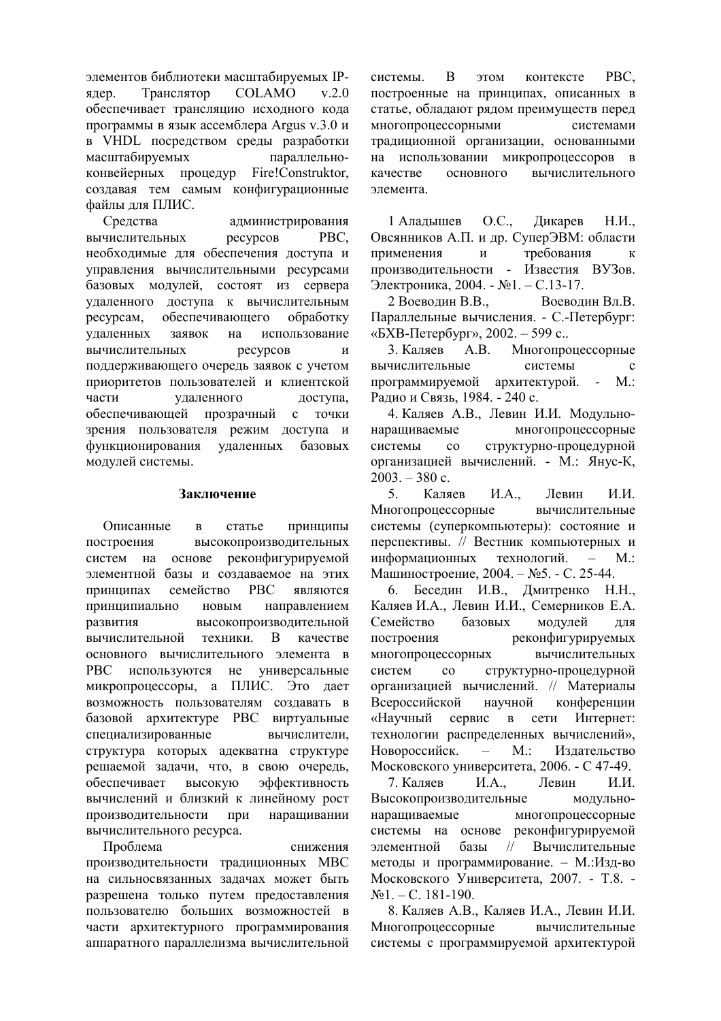элементов библиотеки масштабируемых IP-**COLAMO** Транслятор  $v$  2.0 ядер. обеспечивает трансляцию исходного кода программы в язык ассемблера Argus v.3.0 и в VHDL посредством среды разработки масштабируемых параллельноконвейерных процедур Fire!Construktor, создавая тем самым конфигурационные файлы для ПЛИС.

Срелства администрирования вычислительных PBC. ресурсов необходимые для обеспечения доступа и управления вычислительными ресурсами базовых модулей, состоят из сервера удаленного доступа к вычислительным ресурсам, обеспечивающего обработку удаленных заявок на использование ресурсов вычислительных  $\mathbf{M}$ поддерживающего очередь заявок с учетом приоритетов пользователей и клиентской удаленного части доступа. обеспечивающей прозрачный с точки зрения пользователя режим доступа и функционирования удаленных базовых модулей системы.

### Заключение

Описанные статье Принципы  $\mathbf{p}$ построения высокопроизводительных систем на основе реконфигурируемой элементной базы и создаваемое на этих семейство **PBC** являются принципах принципиально НОВЫМ направлением развития высокопроизводительной вычислительной техники. B качестве основного вычислительного элемента в универсальные PBC используются He микропроцессоры, а ПЛИС. Это дает возможность пользователям создавать в базовой архитектуре РВС виртуальные специализированные вычислители, структура которых адекватна структуре решаемой задачи, что, в свою очередь, обеспечивает высокую эффективность вычислений и близкий к линейному рост производительности при наращивании вычислительного ресурса.

Проблема снижения производительности традиционных МВС на сильносвязанных задачах может быть разрешена только путем предоставления пользователю больших возможностей в части архитектурного программирования аппаратного параллелизма вычислительной системы  $\overline{R}$ этом контексте PBC. построенные на принципах, описанных в статье, обладают рядом преимуществ перед многопроцессорными системами традиционной организации, основанными на использовании микропроцессоров в основного вычислительного качестве элемента.

 $O.C.$ 1 Алалышев Ликарев  $H.M.$ Овсянников А.П. и др. СуперЭВМ: области требования применения  $\boldsymbol{\mathrm{M}}$  $\kappa$ производительности - Известия ВУЗов. Электроника, 2004. - №1. - С.13-17.

2 Воеводин В.В. Воеволин Вл.В. Параллельные вычисления. - С.-Петербург: «БХВ-Петербург», 2002. - 599 с..

3 Каляев  $A.B.$ Многопроцессорные системы вычислительные программируемой архитектурой.  $M_{\cdot}$ : Радио и Связь, 1984. - 240 с.

4. Каляев А.В., Левин И.И. Модульнонаращиваемые многопроцессорные системы  $\overline{c}$ структурно-процедурной организацией вычислений. - М.: Янус-К,  $2003. - 380$  c.

 $\mathcal{F}$ Каляев  $H.A...$ Левин И.И. Многопроцессорные вычислительные системы (суперкомпьютеры): состояние и перспективы. // Вестник компьютерных и информационных технологий.  $\sim$   $M$ : Машиностроение, 2004. – №5. - С. 25-44.

6. Беседин И.В., Дмитренко Н.Н., Каляев И.А., Левин И.И., Семерников Е.А. Семейство базовых модулей ЛЛЯ реконфигурируемых построения многопроцессорных вычислительных систем  $\rm{co}$ структурно-процедурной организацией вычислений. // Материалы Всероссийской научной конференции «Научный сервис в сети Интернет: технологии распределенных вычислений», Новороссийск.  $M$ . Излательство  $\equiv$ Московского университета, 2006. - С 47-49.

7. Каляев  *A* Левин И И Высокопроизводительные модульнонаращиваемые многопроцессорные системы на основе реконфигурируемой Вычислительные элементной базы  $\frac{1}{2}$ методы и программирование. - М.:Изд-во Московского Университета, 2007. - Т.8. - $\text{N} \Omega$ . - C. 181-190.

8. Каляев А.В., Каляев И.А., Левин И.И. Многопроцессорные вычислительные системы с программируемой архитектурой